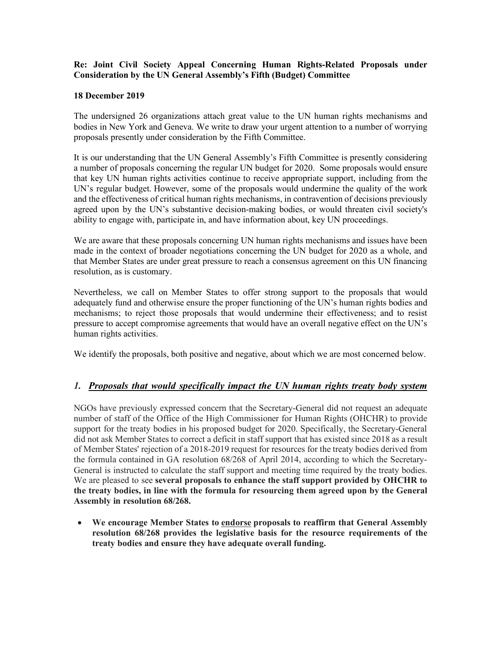### **Re: Joint Civil Society Appeal Concerning Human Rights-Related Proposals under Consideration by the UN General Assembly's Fifth (Budget) Committee**

#### **18 December 2019**

The undersigned 26 organizations attach great value to the UN human rights mechanisms and bodies in New York and Geneva. We write to draw your urgent attention to a number of worrying proposals presently under consideration by the Fifth Committee.

It is our understanding that the UN General Assembly's Fifth Committee is presently considering a number of proposals concerning the regular UN budget for 2020. Some proposals would ensure that key UN human rights activities continue to receive appropriate support, including from the UN's regular budget. However, some of the proposals would undermine the quality of the work and the effectiveness of critical human rights mechanisms, in contravention of decisions previously agreed upon by the UN's substantive decision-making bodies, or would threaten civil society's ability to engage with, participate in, and have information about, key UN proceedings.

We are aware that these proposals concerning UN human rights mechanisms and issues have been made in the context of broader negotiations concerning the UN budget for 2020 as a whole, and that Member States are under great pressure to reach a consensus agreement on this UN financing resolution, as is customary.

Nevertheless, we call on Member States to offer strong support to the proposals that would adequately fund and otherwise ensure the proper functioning of the UN's human rights bodies and mechanisms; to reject those proposals that would undermine their effectiveness; and to resist pressure to accept compromise agreements that would have an overall negative effect on the UN's human rights activities.

We identify the proposals, both positive and negative, about which we are most concerned below.

## *1. Proposals that would specifically impact the UN human rights treaty body system*

NGOs have previously expressed concern that the Secretary-General did not request an adequate number of staff of the Office of the High Commissioner for Human Rights (OHCHR) to provide support for the treaty bodies in his proposed budget for 2020. Specifically, the Secretary-General did not ask Member States to correct a deficit in staff support that has existed since 2018 as a result of Member States' rejection of a 2018-2019 request for resources for the treaty bodies derived from the formula contained in GA resolution 68/268 of April 2014, according to which the Secretary-General is instructed to calculate the staff support and meeting time required by the treaty bodies. We are pleased to see **several proposals to enhance the staff support provided by OHCHR to the treaty bodies, in line with the formula for resourcing them agreed upon by the General Assembly in resolution 68/268.**

• **We encourage Member States to endorse proposals to reaffirm that General Assembly resolution 68/268 provides the legislative basis for the resource requirements of the treaty bodies and ensure they have adequate overall funding.**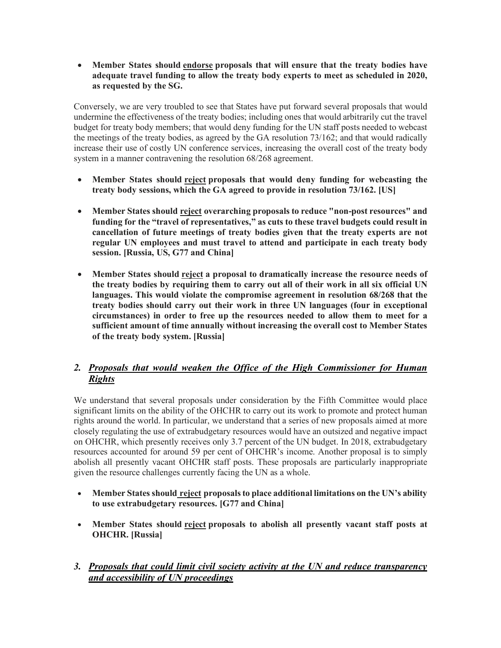• **Member States should endorse proposals that will ensure that the treaty bodies have adequate travel funding to allow the treaty body experts to meet as scheduled in 2020, as requested by the SG.**

Conversely, we are very troubled to see that States have put forward several proposals that would undermine the effectiveness of the treaty bodies; including ones that would arbitrarily cut the travel budget for treaty body members; that would deny funding for the UN staff posts needed to webcast the meetings of the treaty bodies, as agreed by the GA resolution 73/162; and that would radically increase their use of costly UN conference services, increasing the overall cost of the treaty body system in a manner contravening the resolution 68/268 agreement.

- **Member States should reject proposals that would deny funding for webcasting the treaty body sessions, which the GA agreed to provide in resolution 73/162. [US]**
- **Member States should reject overarching proposals to reduce "non-post resources" and funding for the "travel of representatives," as cuts to these travel budgets could result in cancellation of future meetings of treaty bodies given that the treaty experts are not regular UN employees and must travel to attend and participate in each treaty body session. [Russia, US, G77 and China]**
- **Member States should reject a proposal to dramatically increase the resource needs of the treaty bodies by requiring them to carry out all of their work in all six official UN languages. This would violate the compromise agreement in resolution 68/268 that the treaty bodies should carry out their work in three UN languages (four in exceptional circumstances) in order to free up the resources needed to allow them to meet for a sufficient amount of time annually without increasing the overall cost to Member States of the treaty body system. [Russia]**

# *2. Proposals that would weaken the Office of the High Commissioner for Human Rights*

We understand that several proposals under consideration by the Fifth Committee would place significant limits on the ability of the OHCHR to carry out its work to promote and protect human rights around the world. In particular, we understand that a series of new proposals aimed at more closely regulating the use of extrabudgetary resources would have an outsized and negative impact on OHCHR, which presently receives only 3.7 percent of the UN budget. In 2018, extrabudgetary resources accounted for around 59 per cent of OHCHR's income. Another proposal is to simply abolish all presently vacant OHCHR staff posts. These proposals are particularly inappropriate given the resource challenges currently facing the UN as a whole.

- **Member States should reject proposalsto place additional limitations on the UN's ability to use extrabudgetary resources. [G77 and China]**
- **Member States should reject proposals to abolish all presently vacant staff posts at OHCHR. [Russia]**
- *3. Proposals that could limit civil society activity at the UN and reduce transparency and accessibility of UN proceedings*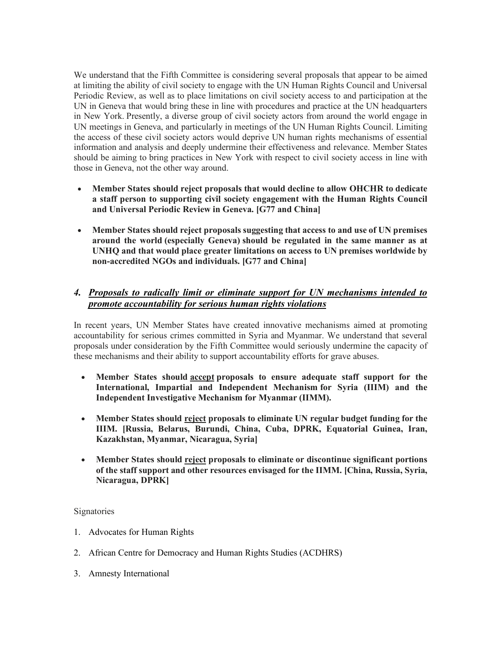We understand that the Fifth Committee is considering several proposals that appear to be aimed at limiting the ability of civil society to engage with the UN Human Rights Council and Universal Periodic Review, as well as to place limitations on civil society access to and participation at the UN in Geneva that would bring these in line with procedures and practice at the UN headquarters in New York. Presently, a diverse group of civil society actors from around the world engage in UN meetings in Geneva, and particularly in meetings of the UN Human Rights Council. Limiting the access of these civil society actors would deprive UN human rights mechanisms of essential information and analysis and deeply undermine their effectiveness and relevance. Member States should be aiming to bring practices in New York with respect to civil society access in line with those in Geneva, not the other way around.

- **Member States should reject proposals that would decline to allow OHCHR to dedicate a staff person to supporting civil society engagement with the Human Rights Council and Universal Periodic Review in Geneva. [G77 and China]**
- **Member States should reject proposals suggesting that access to and use of UN premises around the world (especially Geneva) should be regulated in the same manner as at UNHQ and that would place greater limitations on access to UN premises worldwide by non-accredited NGOs and individuals. [G77 and China]**

## *4. Proposals to radically limit or eliminate support for UN mechanisms intended to promote accountability for serious human rights violations*

In recent years, UN Member States have created innovative mechanisms aimed at promoting accountability for serious crimes committed in Syria and Myanmar. We understand that several proposals under consideration by the Fifth Committee would seriously undermine the capacity of these mechanisms and their ability to support accountability efforts for grave abuses.

- **Member States should accept proposals to ensure adequate staff support for the International, Impartial and Independent Mechanism for Syria (IIIM) and the Independent Investigative Mechanism for Myanmar (IIMM).**
- **Member States should reject proposals to eliminate UN regular budget funding for the IIIM. [Russia, Belarus, Burundi, China, Cuba, DPRK, Equatorial Guinea, Iran, Kazakhstan, Myanmar, Nicaragua, Syria]**
- **Member States should reject proposals to eliminate or discontinue significant portions of the staff support and other resources envisaged for the IIMM. [China, Russia, Syria, Nicaragua, DPRK]**

## **Signatories**

- 1. Advocates for Human Rights
- 2. African Centre for Democracy and Human Rights Studies (ACDHRS)
- 3. Amnesty International